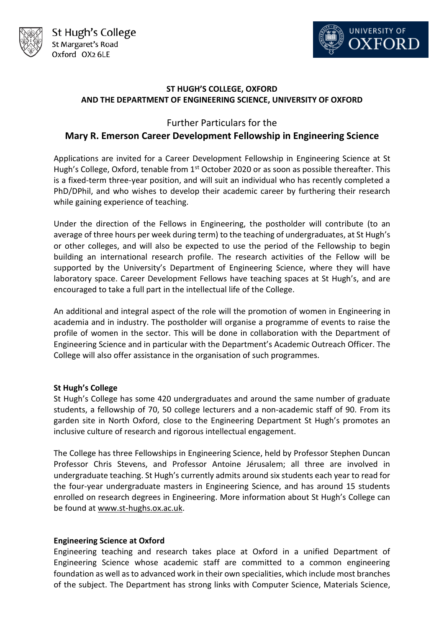



## **ST HUGH'S COLLEGE, OXFORD AND THE DEPARTMENT OF ENGINEERING SCIENCE, UNIVERSITY OF OXFORD**

# Further Particulars for the

# **Mary R. Emerson Career Development Fellowship in Engineering Science**

Applications are invited for a Career Development Fellowship in Engineering Science at St Hugh's College, Oxford, tenable from 1<sup>st</sup> October 2020 or as soon as possible thereafter. This is a fixed-term three-year position, and will suit an individual who has recently completed a PhD/DPhil, and who wishes to develop their academic career by furthering their research while gaining experience of teaching.

Under the direction of the Fellows in Engineering, the postholder will contribute (to an average of three hours per week during term) to the teaching of undergraduates, at St Hugh's or other colleges, and will also be expected to use the period of the Fellowship to begin building an international research profile. The research activities of the Fellow will be supported by the University's Department of Engineering Science, where they will have laboratory space. Career Development Fellows have teaching spaces at St Hugh's, and are encouraged to take a full part in the intellectual life of the College.

An additional and integral aspect of the role will the promotion of women in Engineering in academia and in industry. The postholder will organise a programme of events to raise the profile of women in the sector. This will be done in collaboration with the Department of Engineering Science and in particular with the Department's Academic Outreach Officer. The College will also offer assistance in the organisation of such programmes.

#### **St Hugh's College**

St Hugh's College has some 420 undergraduates and around the same number of graduate students, a fellowship of 70, 50 college lecturers and a non-academic staff of 90. From its garden site in North Oxford, close to the Engineering Department St Hugh's promotes an inclusive culture of research and rigorous intellectual engagement.

The College has three Fellowships in Engineering Science, held by Professor Stephen Duncan Professor Chris Stevens, and Professor Antoine Jérusalem; all three are involved in undergraduate teaching. St Hugh's currently admits around six students each year to read for the four-year undergraduate masters in Engineering Science, and has around 15 students enrolled on research degrees in Engineering. More information about St Hugh's College can be found at [www.st-hughs.ox.ac.uk.](http://www.st-hughs.ox.ac.uk/)

## **Engineering Science at Oxford**

Engineering teaching and research takes place at Oxford in a unified Department of Engineering Science whose academic staff are committed to a common engineering foundation as well as to advanced work in their own specialities, which include most branches of the subject. The Department has strong links with Computer Science, Materials Science,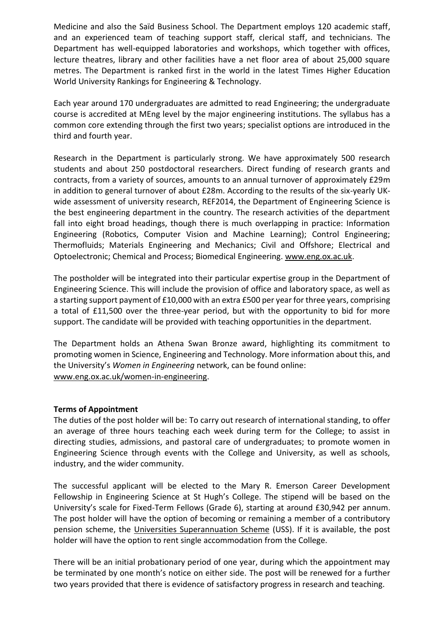Medicine and also the Saïd Business School. The Department employs 120 academic staff, and an experienced team of teaching support staff, clerical staff, and technicians. The Department has well-equipped laboratories and workshops, which together with offices, lecture theatres, library and other facilities have a net floor area of about 25,000 square metres. The Department is ranked first in the world in the latest Times Higher Education World University Rankings for Engineering & Technology.

Each year around 170 undergraduates are admitted to read Engineering; the undergraduate course is accredited at MEng level by the major engineering institutions. The syllabus has a common core extending through the first two years; specialist options are introduced in the third and fourth year.

Research in the Department is particularly strong. We have approximately 500 research students and about 250 postdoctoral researchers. Direct funding of research grants and contracts, from a variety of sources, amounts to an annual turnover of approximately £29m in addition to general turnover of about £28m. According to the results of the six-yearly UKwide assessment of university research, REF2014, the Department of Engineering Science is the best engineering department in the country. The research activities of the department fall into eight broad headings, though there is much overlapping in practice: Information Engineering (Robotics, Computer Vision and Machine Learning); Control Engineering; Thermofluids; Materials Engineering and Mechanics; Civil and Offshore; Electrical and Optoelectronic; Chemical and Process; Biomedical Engineering. [www.eng.ox.ac.uk.](http://www.eng.ox.ac.uk/)

The postholder will be integrated into their particular expertise group in the Department of Engineering Science. This will include the provision of office and laboratory space, as well as a starting support payment of £10,000 with an extra £500 per year for three years, comprising a total of £11,500 over the three-year period, but with the opportunity to bid for more support. The candidate will be provided with teaching opportunities in the department.

The Department holds an Athena Swan Bronze award, highlighting its commitment to promoting women in Science, Engineering and Technology. More information about this, and the University's *Women in Engineering* network, can be found online: [www.eng.ox.ac.uk/women-in-engineering.](http://www.eng.ox.ac.uk/women-in-engineering)

#### **Terms of Appointment**

The duties of the post holder will be: To carry out research of international standing, to offer an average of three hours teaching each week during term for the College; to assist in directing studies, admissions, and pastoral care of undergraduates; to promote women in Engineering Science through events with the College and University, as well as schools, industry, and the wider community.

The successful applicant will be elected to the Mary R. Emerson Career Development Fellowship in Engineering Science at St Hugh's College. The stipend will be based on the University's scale for Fixed-Term Fellows (Grade 6), starting at around £30,942 per annum. The post holder will have the option of becoming or remaining a member of a contributory pension scheme, the [Universities Superannuation Scheme](https://www.admin.ox.ac.uk/finance/epp/pensions/schemes/uss/) (USS). If it is available, the post holder will have the option to rent single accommodation from the College.

There will be an initial probationary period of one year, during which the appointment may be terminated by one month's notice on either side. The post will be renewed for a further two years provided that there is evidence of satisfactory progress in research and teaching.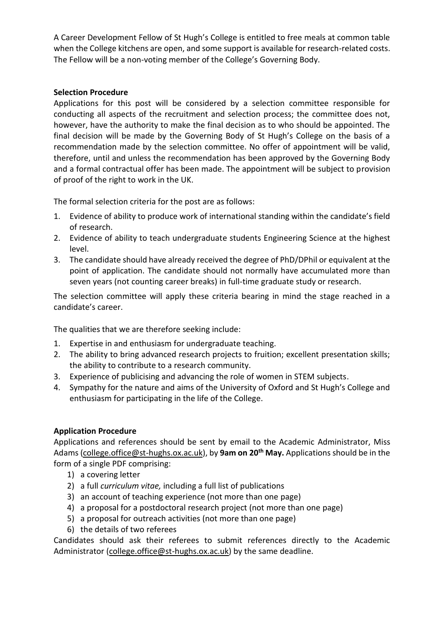A Career Development Fellow of St Hugh's College is entitled to free meals at common table when the College kitchens are open, and some support is available for research-related costs. The Fellow will be a non-voting member of the College's Governing Body.

### **Selection Procedure**

Applications for this post will be considered by a selection committee responsible for conducting all aspects of the recruitment and selection process; the committee does not, however, have the authority to make the final decision as to who should be appointed. The final decision will be made by the Governing Body of St Hugh's College on the basis of a recommendation made by the selection committee. No offer of appointment will be valid, therefore, until and unless the recommendation has been approved by the Governing Body and a formal contractual offer has been made. The appointment will be subject to provision of proof of the right to work in the UK.

The formal selection criteria for the post are as follows:

- 1. Evidence of ability to produce work of international standing within the candidate's field of research.
- 2. Evidence of ability to teach undergraduate students Engineering Science at the highest level.
- 3. The candidate should have already received the degree of PhD/DPhil or equivalent at the point of application. The candidate should not normally have accumulated more than seven years (not counting career breaks) in full-time graduate study or research.

The selection committee will apply these criteria bearing in mind the stage reached in a candidate's career.

The qualities that we are therefore seeking include:

- 1. Expertise in and enthusiasm for undergraduate teaching.
- 2. The ability to bring advanced research projects to fruition; excellent presentation skills; the ability to contribute to a research community.
- 3. Experience of publicising and advancing the role of women in STEM subjects.
- 4. Sympathy for the nature and aims of the University of Oxford and St Hugh's College and enthusiasm for participating in the life of the College.

## **Application Procedure**

Applications and references should be sent by email to the Academic Administrator, Miss Adams [\(college.office@st-hughs.ox.ac.uk\)](mailto:college.office@st-hughs.ox.ac.uk), by **9am on 20th May.** Applications should be in the form of a single PDF comprising:

- 1) a covering letter
- 2) a full *curriculum vitae,* including a full list of publications
- 3) an account of teaching experience (not more than one page)
- 4) a proposal for a postdoctoral research project (not more than one page)
- 5) a proposal for outreach activities (not more than one page)
- 6) the details of two referees

Candidates should ask their referees to submit references directly to the Academic Administrator [\(college.office@st-hughs.ox.ac.uk\)](mailto:college.office@st-hughs.ox.ac.uk)b) by the same deadline.